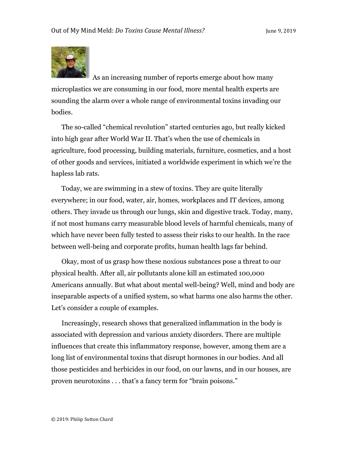

As an increasing number of reports emerge about how many microplastics we are consuming in our food, more mental health experts are sounding the alarm over a whole range of environmental toxins invading our bodies.

The so-called "chemical revolution" started centuries ago, but really kicked into high gear after World War II. That's when the use of chemicals in agriculture, food processing, building materials, furniture, cosmetics, and a host of other goods and services, initiated a worldwide experiment in which we're the hapless lab rats.

Today, we are swimming in a stew of toxins. They are quite literally everywhere; in our food, water, air, homes, workplaces and IT devices, among others. They invade us through our lungs, skin and digestive track. Today, many, if not most humans carry measurable blood levels of harmful chemicals, many of which have never been fully tested to assess their risks to our health. In the race between well-being and corporate profits, human health lags far behind.

Okay, most of us grasp how these noxious substances pose a threat to our physical health. After all, air pollutants alone kill an estimated 100,000 Americans annually. But what about mental well-being? Well, mind and body are inseparable aspects of a unified system, so what harms one also harms the other. Let's consider a couple of examples.

Increasingly, research shows that generalized inflammation in the body is associated with depression and various anxiety disorders. There are multiple influences that create this inflammatory response, however, among them are a long list of environmental toxins that disrupt hormones in our bodies. And all those pesticides and herbicides in our food, on our lawns, and in our houses, are proven neurotoxins . . . that's a fancy term for "brain poisons."